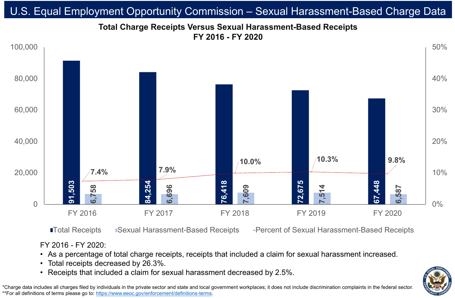FY 2016 - FY 2020:

• As a percentage of total charge receipts, receipts that included a claim for sexual harassment increased.



- 
- Total receipts decreased by 26.3%.
- 

## **Total Charge Receipts Versus Sexual Harassment-Based Receipts FY 2016 - FY 2020** U.S. Equal Employment Opportunity Commission – Sexual Harassment-Based Charge Data

\*Charge data includes all charges filed by individuals in the private sector and state and local government workplaces; it does not include discrimination complaints in the federal sector. \*\*For all definitions of terms please go to:<https://www.eeoc.gov/enforcement/definitions-terms>.



**ITotal Receipts ISexual Harassment-Based Receipts Fercent of Sexual Harassment-Based Receipts** 

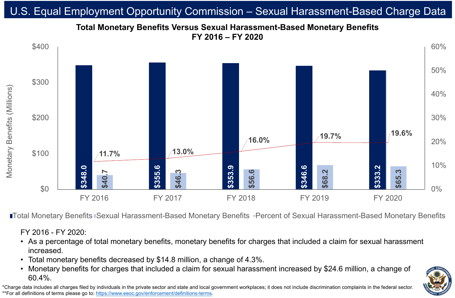# **Total Monetary Benefits Versus Sexual Harassment-Based Monetary Benefits FY 2016 – FY 2020** U.S. Equal Employment Opportunity Commission – Sexual Harassment-Based Charge Data

\*Charge data includes all charges filed by individuals in the private sector and state and local government workplaces; it does not include discrimination complaints in the federal sector. \*\*For all definitions of terms please go to:<https://www.eeoc.gov/enforcement/definitions-terms>.

### **ITotal Monetary Benefits Sexual Harassment-Based Monetary Benefits -Percent of Sexual Harassment-Based Monetary Benefits**



FY 2016 - FY 2020:

### • As a percentage of total monetary benefits, monetary benefits for charges that included a claim for sexual harassment



- increased.
- 
- 60.4%.

### • Total monetary benefits decreased by \$14.8 million, a change of 4.3%. • Monetary benefits for charges that included a claim for sexual harassment increased by \$24.6 million, a change of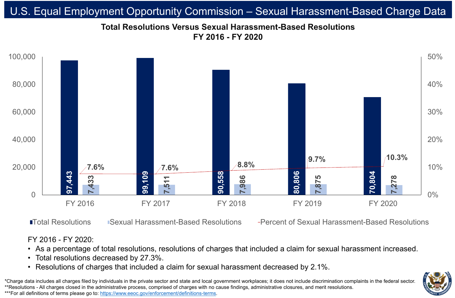

### **ITotal Resolutions Construential Harassment-Based Resolutions Fercent of Sexual Harassment-Based Resolutions**

![](_page_2_Picture_10.jpeg)

## **Total Resolutions Versus Sexual Harassment-Based Resolutions FY 2016 - FY 2020** U.S. Equal Employment Opportunity Commission – Sexual Harassment-Based Charge Data

\*Charge data includes all charges filed by individuals in the private sector and state and local government workplaces; it does not include discrimination complaints in the federal sector. \*\*Resolutions - All charges closed in the administrative process, comprised of charges with no cause findings, administrative closures, and merit resolutions. \*\*\*For all definitions of terms please go to:<https://www.eeoc.gov/enforcement/definitions-terms>.

### FY 2016 - FY 2020:

# • As a percentage of total resolutions, resolutions of charges that included a claim for sexual harassment increased. • Resolutions of charges that included a claim for sexual harassment decreased by 2.1%.

![](_page_2_Picture_12.jpeg)

- 
- Total resolutions decreased by 27.3%.
- 
-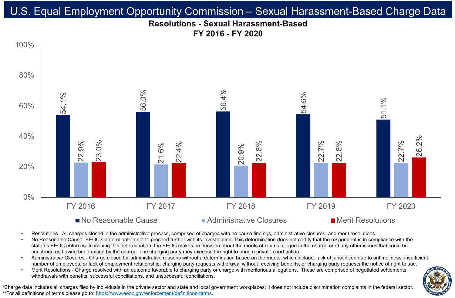## **Resolutions - Sexual Harassment-Based FY 2016 - FY 2020** U.S. Equal Employment Opportunity Commission – Sexual Harassment-Based Charge Data

![](_page_3_Picture_8.jpeg)

![](_page_3_Figure_1.jpeg)

### $\blacksquare$  No Reasonable Cause  $\blacksquare$  Administrative Closures  $\blacksquare$  Merit Resolutions

- 
- 
- 
- 

Resolutions - All charges closed in the administrative process, comprised of charges with no cause findings, administrative closures, and merit resolutions. • No Reasonable Cause -EEOC's determination not to proceed further with its investigation. This determination does not certify that the respondent is in compliance with the statutes EEOC enforces. In issuing this determination, the EEOC makes no decision about the merits of claims alleged in the charge or of any other issues that could be construed as having been raised by the charge. The charging party may exercise the right to bring a private court action. • Administrative Closures - Charge closed for administrative reasons without a determination based on the merits, which include: lack of jurisdiction due to untimeliness, insufficient number of employees, or lack of employment relationship; charging party requests withdrawal without receiving benefits; or charging party requests the notice of right to sue. Merit Resolutions - Charge resolved with an outcome favorable to charging party or charge with meritorious allegations. These are comprised of negotiated settlements, withdrawals with benefits, successful conciliations, and unsuccessful conciliations.

\*Charge data includes all charges filed by individuals in the private sector and state and local government workplaces; it does not include discrimination complaints in the federal sector. \*\*For all definitions of terms please go to:<https://www.eeoc.gov/enforcement/definitions-terms>.

![](_page_3_Picture_12.jpeg)

![](_page_3_Picture_14.jpeg)